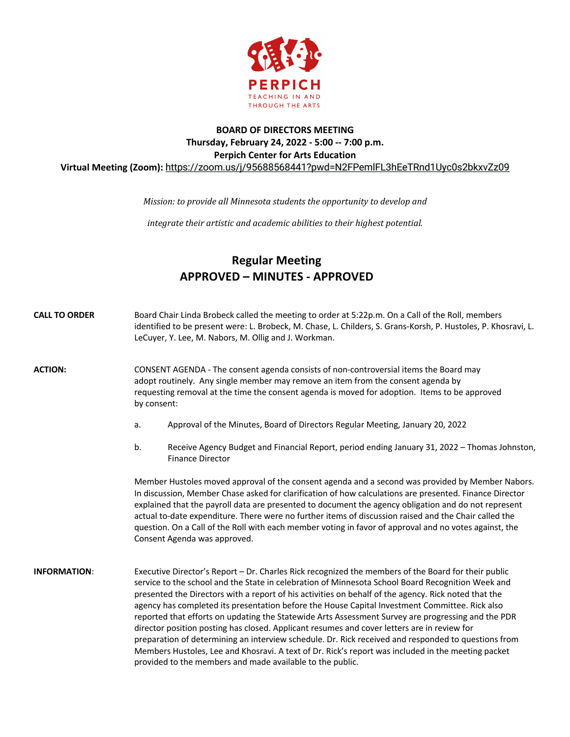

## **BOARD OF DIRECTORS MEETING Thursday, February 24, 2022 - 5:00 -- 7:00 p.m. Perpich Center for Arts Education Virtual Meeting (Zoom):** https://zoom.us/j/95688568441?pwd=N2FPemlFL3hEeTRnd1Uyc0s2bkxvZz09

*Mission:* to provide all Minnesota students the opportunity to develop and

*integrate their artistic and academic abilities to their highest potential.* 

## **Regular Meeting APPROVED – MINUTES - APPROVED**

| <b>CALL TO ORDER</b> | Board Chair Linda Brobeck called the meeting to order at 5:22p.m. On a Call of the Roll, members<br>identified to be present were: L. Brobeck, M. Chase, L. Childers, S. Grans-Korsh, P. Hustoles, P. Khosravi, L.<br>LeCuyer, Y. Lee, M. Nabors, M. Ollig and J. Workman.                                                                                                                                                                                                                                                                                                                                                                                                                                                                                                                                                                                                                        |
|----------------------|---------------------------------------------------------------------------------------------------------------------------------------------------------------------------------------------------------------------------------------------------------------------------------------------------------------------------------------------------------------------------------------------------------------------------------------------------------------------------------------------------------------------------------------------------------------------------------------------------------------------------------------------------------------------------------------------------------------------------------------------------------------------------------------------------------------------------------------------------------------------------------------------------|
| <b>ACTION:</b>       | CONSENT AGENDA - The consent agenda consists of non-controversial items the Board may<br>adopt routinely. Any single member may remove an item from the consent agenda by<br>requesting removal at the time the consent agenda is moved for adoption. Items to be approved<br>by consent:                                                                                                                                                                                                                                                                                                                                                                                                                                                                                                                                                                                                         |
|                      | Approval of the Minutes, Board of Directors Regular Meeting, January 20, 2022<br>a.                                                                                                                                                                                                                                                                                                                                                                                                                                                                                                                                                                                                                                                                                                                                                                                                               |
|                      | b.<br>Receive Agency Budget and Financial Report, period ending January 31, 2022 - Thomas Johnston,<br><b>Finance Director</b>                                                                                                                                                                                                                                                                                                                                                                                                                                                                                                                                                                                                                                                                                                                                                                    |
|                      | Member Hustoles moved approval of the consent agenda and a second was provided by Member Nabors.<br>In discussion, Member Chase asked for clarification of how calculations are presented. Finance Director<br>explained that the payroll data are presented to document the agency obligation and do not represent<br>actual to-date expenditure. There were no further items of discussion raised and the Chair called the<br>question. On a Call of the Roll with each member voting in favor of approval and no votes against, the<br>Consent Agenda was approved.                                                                                                                                                                                                                                                                                                                            |
| <b>INFORMATION:</b>  | Executive Director's Report - Dr. Charles Rick recognized the members of the Board for their public<br>service to the school and the State in celebration of Minnesota School Board Recognition Week and<br>presented the Directors with a report of his activities on behalf of the agency. Rick noted that the<br>agency has completed its presentation before the House Capital Investment Committee. Rick also<br>reported that efforts on updating the Statewide Arts Assessment Survey are progressing and the PDR<br>director position posting has closed. Applicant resumes and cover letters are in review for<br>preparation of determining an interview schedule. Dr. Rick received and responded to questions from<br>Members Hustoles, Lee and Khosravi. A text of Dr. Rick's report was included in the meeting packet<br>provided to the members and made available to the public. |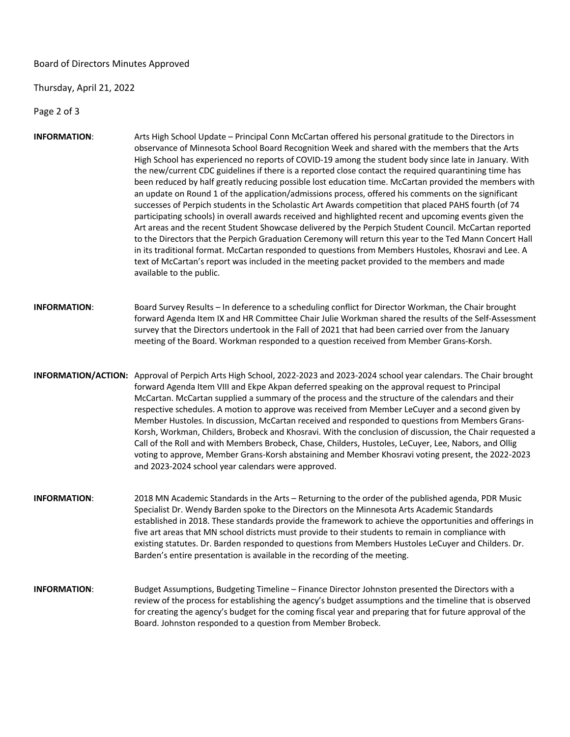Board of Directors Minutes Approved

Thursday, April 21, 2022

Page 2 of 3

- **INFORMATION**: Arts High School Update Principal Conn McCartan offered his personal gratitude to the Directors in observance of Minnesota School Board Recognition Week and shared with the members that the Arts High School has experienced no reports of COVID-19 among the student body since late in January. With the new/current CDC guidelines if there is a reported close contact the required quarantining time has been reduced by half greatly reducing possible lost education time. McCartan provided the members with an update on Round 1 of the application/admissions process, offered his comments on the significant successes of Perpich students in the Scholastic Art Awards competition that placed PAHS fourth (of 74 participating schools) in overall awards received and highlighted recent and upcoming events given the Art areas and the recent Student Showcase delivered by the Perpich Student Council. McCartan reported to the Directors that the Perpich Graduation Ceremony will return this year to the Ted Mann Concert Hall in its traditional format. McCartan responded to questions from Members Hustoles, Khosravi and Lee. A text of McCartan's report was included in the meeting packet provided to the members and made available to the public.
- **INFORMATION**: Board Survey Results In deference to a scheduling conflict for Director Workman, the Chair brought forward Agenda Item IX and HR Committee Chair Julie Workman shared the results of the Self-Assessment survey that the Directors undertook in the Fall of 2021 that had been carried over from the January meeting of the Board. Workman responded to a question received from Member Grans-Korsh.
- **INFORMATION/ACTION:** Approval of Perpich Arts High School, 2022-2023 and 2023-2024 school year calendars. The Chair brought forward Agenda Item VIII and Ekpe Akpan deferred speaking on the approval request to Principal McCartan. McCartan supplied a summary of the process and the structure of the calendars and their respective schedules. A motion to approve was received from Member LeCuyer and a second given by Member Hustoles. In discussion, McCartan received and responded to questions from Members Grans-Korsh, Workman, Childers, Brobeck and Khosravi. With the conclusion of discussion, the Chair requested a Call of the Roll and with Members Brobeck, Chase, Childers, Hustoles, LeCuyer, Lee, Nabors, and Ollig voting to approve, Member Grans-Korsh abstaining and Member Khosravi voting present, the 2022-2023 and 2023-2024 school year calendars were approved.
- **INFORMATION**: 2018 MN Academic Standards in the Arts Returning to the order of the published agenda, PDR Music Specialist Dr. Wendy Barden spoke to the Directors on the Minnesota Arts Academic Standards established in 2018. These standards provide the framework to achieve the opportunities and offerings in five art areas that MN school districts must provide to their students to remain in compliance with existing statutes. Dr. Barden responded to questions from Members Hustoles LeCuyer and Childers. Dr. Barden's entire presentation is available in the recording of the meeting.
- **INFORMATION**: Budget Assumptions, Budgeting Timeline Finance Director Johnston presented the Directors with a review of the process for establishing the agency's budget assumptions and the timeline that is observed for creating the agency's budget for the coming fiscal year and preparing that for future approval of the Board. Johnston responded to a question from Member Brobeck.